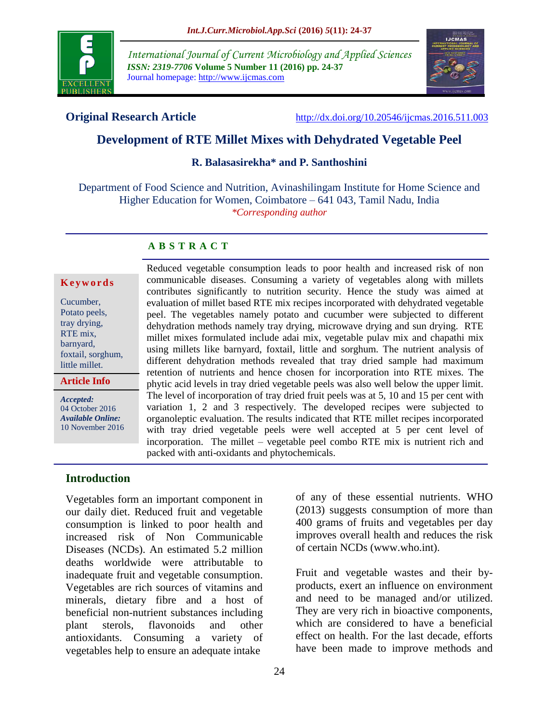

*International Journal of Current Microbiology and Applied Sciences ISSN: 2319-7706* **Volume 5 Number 11 (2016) pp. 24-37** Journal homepage: http://www.ijcmas.com



**Original Research Article** <http://dx.doi.org/10.20546/ijcmas.2016.511.003>

# **Development of RTE Millet Mixes with Dehydrated Vegetable Peel**

#### **R. Balasasirekha\* and P. Santhoshini**

Department of Food Science and Nutrition, Avinashilingam Institute for Home Science and Higher Education for Women, Coimbatore – 641 043, Tamil Nadu, India *\*Corresponding author*

#### **A B S T R A C T**

#### **K e y w o r d s**

| Cucumber,         |
|-------------------|
| Potato peels,     |
| tray drying,      |
| RTE mix,          |
| barnyard,         |
| foxtail, sorghum, |
| little millet.    |
|                   |

**Article Info**

*Accepted:*  04 October 2016 *Available Online:* 10 November 2016

Reduced vegetable consumption leads to poor health and increased risk of non communicable diseases. Consuming a variety of vegetables along with millets contributes significantly to nutrition security. Hence the study was aimed at evaluation of millet based RTE mix recipes incorporated with dehydrated vegetable peel. The vegetables namely potato and cucumber were subjected to different dehydration methods namely tray drying, microwave drying and sun drying. RTE millet mixes formulated include adai mix, vegetable pulav mix and chapathi mix using millets like barnyard, foxtail, little and sorghum. The nutrient analysis of different dehydration methods revealed that tray dried sample had maximum retention of nutrients and hence chosen for incorporation into RTE mixes. The phytic acid levels in tray dried vegetable peels was also well below the upper limit. The level of incorporation of tray dried fruit peels was at 5, 10 and 15 per cent with variation 1, 2 and 3 respectively. The developed recipes were subjected to organoleptic evaluation. The results indicated that RTE millet recipes incorporated with tray dried vegetable peels were well accepted at 5 per cent level of incorporation. The millet – vegetable peel combo RTE mix is nutrient rich and packed with anti-oxidants and phytochemicals.

#### **Introduction**

Vegetables form an important component in our daily diet. Reduced fruit and vegetable consumption is linked to poor health and increased risk of Non Communicable Diseases (NCDs). An estimated 5.2 million deaths worldwide were attributable to inadequate fruit and vegetable consumption. Vegetables are rich sources of vitamins and minerals, dietary fibre and a host of beneficial non-nutrient substances including plant sterols, flavonoids and other antioxidants. Consuming a variety of vegetables help to ensure an adequate intake

of any of these essential nutrients. WHO (2013) suggests consumption of more than 400 grams of fruits and vegetables per day improves overall health and reduces the risk of certain NCDs [\(www.who.int\)](http://www.who.int/).

Fruit and vegetable wastes and their byproducts, exert an influence on environment and need to be managed and/or utilized. They are very rich in bioactive components, which are considered to have a beneficial effect on health. For the last decade, efforts have been made to improve methods and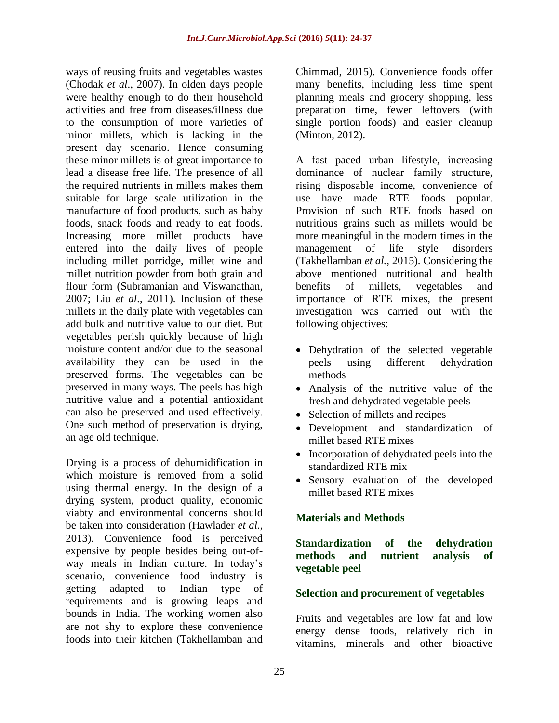ways of reusing fruits and vegetables wastes (Chodak *et al*., 2007). In olden days people were healthy enough to do their household activities and free from diseases/illness due to the consumption of more varieties of minor millets, which is lacking in the present day scenario. Hence consuming these minor millets is of great importance to lead a disease free life. The presence of all the required nutrients in millets makes them suitable for large scale utilization in the manufacture of food products, such as baby foods, snack foods and ready to eat foods. Increasing more millet products have entered into the daily lives of people including millet porridge, millet wine and millet nutrition powder from both grain and flour form (Subramanian and Viswanathan, 2007; Liu *et al*., 2011). Inclusion of these millets in the daily plate with vegetables can add bulk and nutritive value to our diet. But vegetables perish quickly because of high moisture content and/or due to the seasonal availability they can be used in the preserved forms. The vegetables can be preserved in many ways. The peels has high nutritive value and a potential antioxidant can also be preserved and used effectively. One such method of preservation is drying, an age old technique.

Drying is a process of dehumidification in which moisture is removed from a solid using thermal energy. In the design of a drying system, product quality, economic viabty and environmental concerns should be taken into consideration (Hawlader *et al.*, 2013). Convenience food is perceived expensive by people besides being out-ofway meals in Indian culture. In today's scenario, convenience food industry is getting adapted to Indian type of requirements and is growing leaps and bounds in India. The working women also are not shy to explore these convenience foods into their kitchen (Takhellamban and

Chimmad, 2015). Convenience foods offer many benefits, including less time spent planning meals and grocery shopping, less preparation time, fewer leftovers (with single portion foods) and easier cleanup (Minton, 2012).

A fast paced urban lifestyle, increasing dominance of nuclear family structure, rising disposable income, convenience of use have made RTE foods popular. Provision of such RTE foods based on nutritious grains such as millets would be more meaningful in the modern times in the management of life style disorders (Takhellamban *et al.,* 2015). Considering the above mentioned nutritional and health benefits of millets, vegetables and importance of RTE mixes, the present investigation was carried out with the following objectives:

- Dehydration of the selected vegetable peels using different dehydration methods
- Analysis of the nutritive value of the fresh and dehydrated vegetable peels
- Selection of millets and recipes
- Development and standardization of millet based RTE mixes
- Incorporation of dehydrated peels into the standardized RTE mix
- Sensory evaluation of the developed millet based RTE mixes

#### **Materials and Methods**

**Standardization of the dehydration methods and nutrient analysis of vegetable peel**

#### **Selection and procurement of vegetables**

Fruits and vegetables are low fat and low energy dense foods, relatively rich in vitamins, minerals and other bioactive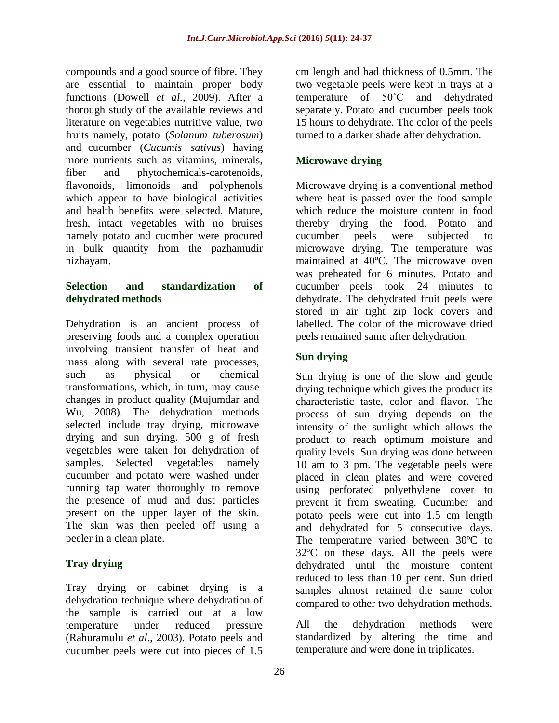compounds and a good source of fibre. They are essential to maintain proper body functions (Dowell *et al.,* 2009). After a thorough study of the available reviews and literature on vegetables nutritive value, two fruits namely, potato (*Solanum tuberosum*) and cucumber (*Cucumis sativus*) having more nutrients such as vitamins, minerals, fiber and phytochemicals-carotenoids, flavonoids, limonoids and polyphenols which appear to have biological activities and health benefits were selected. Mature, fresh, intact vegetables with no bruises namely potato and cucmber were procured in bulk quantity from the pazhamudir nizhayam.

#### **Selection and standardization of dehydrated methods**

Dehydration is an ancient process of preserving foods and a complex operation involving transient transfer of heat and mass along with several rate processes, such as physical or chemical transformations, which, in turn, may cause changes in product quality (Mujumdar and Wu, 2008). The dehydration methods selected include tray drying, microwave drying and sun drying. 500 g of fresh vegetables were taken for dehydration of samples. Selected vegetables namely cucumber and potato were washed under running tap water thoroughly to remove the presence of mud and dust particles present on the upper layer of the skin. The skin was then peeled off using a peeler in a clean plate.

# **Tray drying**

Tray drying or cabinet drying is a dehydration technique where dehydration of the sample is carried out at a low temperature under reduced pressure (Rahuramulu *et al*., 2003). Potato peels and cucumber peels were cut into pieces of 1.5

cm length and had thickness of 0.5mm. The two vegetable peels were kept in trays at a temperature of 50˚C and dehydrated separately. Potato and cucumber peels took 15 hours to dehydrate. The color of the peels turned to a darker shade after dehydration.

# **Microwave drying**

Microwave drying is a conventional method where heat is passed over the food sample which reduce the moisture content in food thereby drying the food. Potato and cucumber peels were subjected to microwave drying. The temperature was maintained at 40ºC. The microwave oven was preheated for 6 minutes. Potato and cucumber peels took 24 minutes to dehydrate. The dehydrated fruit peels were stored in air tight zip lock covers and labelled. The color of the microwave dried peels remained same after dehydration.

## **Sun drying**

Sun drying is one of the slow and gentle drying technique which gives the product its characteristic taste, color and flavor. The process of sun drying depends on the intensity of the sunlight which allows the product to reach optimum moisture and quality levels. Sun drying was done between 10 am to 3 pm. The vegetable peels were placed in clean plates and were covered using perforated polyethylene cover to prevent it from sweating. Cucumber and potato peels were cut into 1.5 cm length and dehydrated for 5 consecutive days. The temperature varied between 30ºC to 32ºC on these days. All the peels were dehydrated until the moisture content reduced to less than 10 per cent. Sun dried samples almost retained the same color compared to other two dehydration methods.

All the dehydration methods were standardized by altering the time and temperature and were done in triplicates.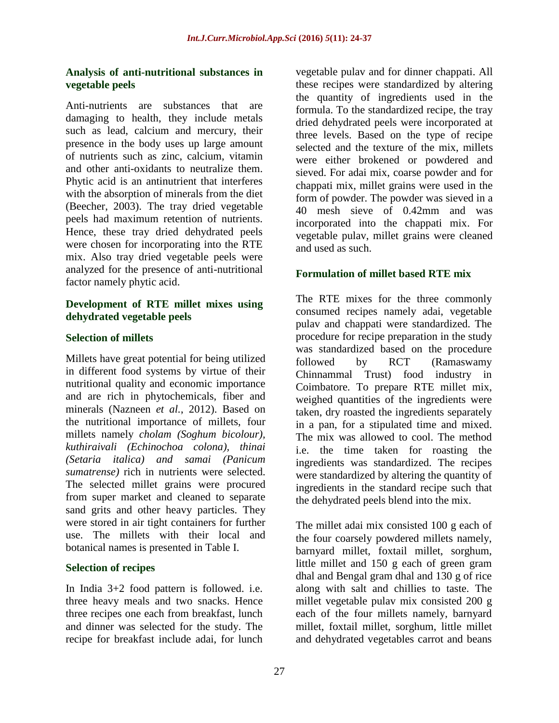#### **Analysis of anti-nutritional substances in vegetable peels**

Anti-nutrients are substances that are damaging to health, they include metals such as lead, calcium and mercury, their presence in the body uses up large amount of nutrients such as zinc, calcium, vitamin and other anti-oxidants to neutralize them. Phytic acid is an antinutrient that interferes with the absorption of minerals from the diet (Beecher, 2003). The tray dried vegetable peels had maximum retention of nutrients. Hence, these tray dried dehydrated peels were chosen for incorporating into the RTE mix. Also tray dried vegetable peels were analyzed for the presence of anti-nutritional factor namely phytic acid.

#### **Development of RTE millet mixes using dehydrated vegetable peels**

#### **Selection of millets**

Millets have great potential for being utilized in different food systems by virtue of their nutritional quality and economic importance and are rich in phytochemicals, fiber and minerals (Nazneen *et al.*, 2012). Based on the nutritional importance of millets, four millets namely *cholam (Soghum bicolour), kuthiraivali (Echinochoa colona), thinai (Setaria italica) and samai (Panicum sumatrense)* rich in nutrients were selected. The selected millet grains were procured from super market and cleaned to separate sand grits and other heavy particles. They were stored in air tight containers for further use. The millets with their local and botanical names is presented in Table I.

#### **Selection of recipes**

In India 3+2 food pattern is followed. i.e. three heavy meals and two snacks. Hence three recipes one each from breakfast, lunch and dinner was selected for the study. The recipe for breakfast include adai, for lunch

vegetable pulav and for dinner chappati. All these recipes were standardized by altering the quantity of ingredients used in the formula. To the standardized recipe, the tray dried dehydrated peels were incorporated at three levels. Based on the type of recipe selected and the texture of the mix, millets were either brokened or powdered and sieved. For adai mix, coarse powder and for chappati mix, millet grains were used in the form of powder. The powder was sieved in a 40 mesh sieve of 0.42mm and was incorporated into the chappati mix. For vegetable pulav, millet grains were cleaned and used as such.

#### **Formulation of millet based RTE mix**

The RTE mixes for the three commonly consumed recipes namely adai, vegetable pulav and chappati were standardized. The procedure for recipe preparation in the study was standardized based on the procedure followed by RCT (Ramaswamy Chinnammal Trust) food industry in Coimbatore. To prepare RTE millet mix, weighed quantities of the ingredients were taken, dry roasted the ingredients separately in a pan, for a stipulated time and mixed. The mix was allowed to cool. The method i.e. the time taken for roasting the ingredients was standardized. The recipes were standardized by altering the quantity of ingredients in the standard recipe such that the dehydrated peels blend into the mix.

The millet adai mix consisted 100 g each of the four coarsely powdered millets namely, barnyard millet, foxtail millet, sorghum, little millet and 150 g each of green gram dhal and Bengal gram dhal and 130 g of rice along with salt and chillies to taste. The millet vegetable pulav mix consisted 200 g each of the four millets namely, barnyard millet, foxtail millet, sorghum, little millet and dehydrated vegetables carrot and beans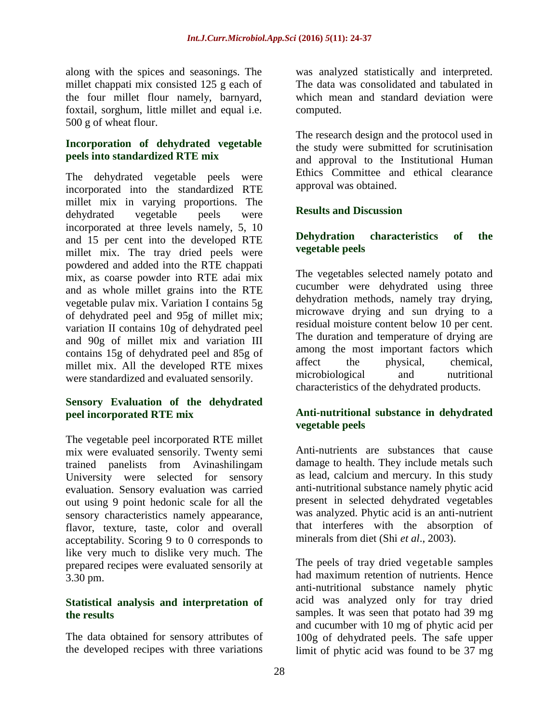along with the spices and seasonings. The millet chappati mix consisted 125 g each of the four millet flour namely, barnyard, foxtail, sorghum, little millet and equal i.e. 500 g of wheat flour.

#### **Incorporation of dehydrated vegetable peels into standardized RTE mix**

The dehydrated vegetable peels were incorporated into the standardized RTE millet mix in varying proportions. The dehydrated vegetable peels were incorporated at three levels namely, 5, 10 and 15 per cent into the developed RTE millet mix. The tray dried peels were powdered and added into the RTE chappati mix, as coarse powder into RTE adai mix and as whole millet grains into the RTE vegetable pulav mix. Variation I contains 5g of dehydrated peel and 95g of millet mix; variation II contains 10g of dehydrated peel and 90g of millet mix and variation III contains 15g of dehydrated peel and 85g of millet mix. All the developed RTE mixes were standardized and evaluated sensorily.

## **Sensory Evaluation of the dehydrated peel incorporated RTE mix**

The vegetable peel incorporated RTE millet mix were evaluated sensorily. Twenty semi trained panelists from Avinashilingam University were selected for sensory evaluation. Sensory evaluation was carried out using 9 point hedonic scale for all the sensory characteristics namely appearance, flavor, texture, taste, color and overall acceptability. Scoring 9 to 0 corresponds to like very much to dislike very much. The prepared recipes were evaluated sensorily at 3.30 pm.

#### **Statistical analysis and interpretation of the results**

The data obtained for sensory attributes of the developed recipes with three variations

was analyzed statistically and interpreted. The data was consolidated and tabulated in which mean and standard deviation were computed.

The research design and the protocol used in the study were submitted for scrutinisation and approval to the Institutional Human Ethics Committee and ethical clearance approval was obtained.

#### **Results and Discussion**

#### **Dehydration characteristics of the vegetable peels**

The vegetables selected namely potato and cucumber were dehydrated using three dehydration methods, namely tray drying, microwave drying and sun drying to a residual moisture content below 10 per cent. The duration and temperature of drying are among the most important factors which affect the physical, chemical, microbiological and nutritional characteristics of the dehydrated products.

#### **Anti-nutritional substance in dehydrated vegetable peels**

Anti-nutrients are substances that cause damage to health. They include metals such as lead, calcium and mercury. In this study anti-nutritional substance namely phytic acid present in selected dehydrated vegetables was analyzed. Phytic acid is an anti-nutrient that interferes with the absorption of minerals from diet (Shi *et al*., 2003).

The peels of tray dried vegetable samples had maximum retention of nutrients. Hence anti-nutritional substance namely phytic acid was analyzed only for tray dried samples. It was seen that potato had 39 mg and cucumber with 10 mg of phytic acid per 100g of dehydrated peels. The safe upper limit of phytic acid was found to be 37 mg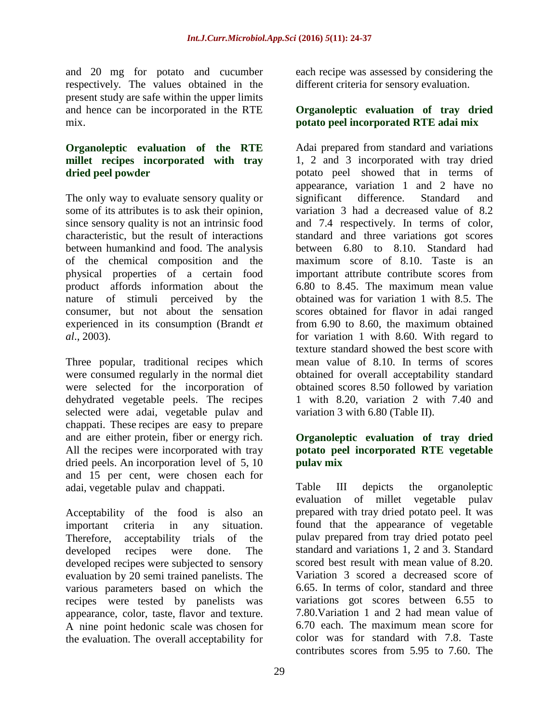and 20 mg for potato and cucumber respectively. The values obtained in the present study are safe within the upper limits and hence can be incorporated in the RTE mix.

#### **Organoleptic evaluation of the RTE millet recipes incorporated with tray dried peel powder**

The only way to evaluate sensory quality or some of its attributes is to ask their opinion, since sensory quality is not an intrinsic food characteristic, but the result of interactions between humankind and food. The analysis of the chemical composition and the physical properties of a certain food product affords information about the nature of stimuli perceived by the consumer, but not about the sensation experienced in its consumption (Brandt *et al*., 2003).

Three popular, traditional recipes which were consumed regularly in the normal diet were selected for the incorporation of dehydrated vegetable peels. The recipes selected were adai, vegetable pulav and chappati. These recipes are easy to prepare and are either protein, fiber or energy rich. All the recipes were incorporated with tray dried peels. An incorporation level of 5, 10 and 15 per cent, were chosen each for adai, vegetable pulav and chappati.

Acceptability of the food is also an important criteria in any situation. Therefore, acceptability trials of the developed recipes were done. The developed recipes were subjected to sensory evaluation by 20 semi trained panelists. The various parameters based on which the recipes were tested by panelists was appearance, color, taste, flavor and texture. A nine point hedonic scale was chosen for the evaluation. The overall acceptability for

each recipe was assessed by considering the different criteria for sensory evaluation.

## **Organoleptic evaluation of tray dried potato peel incorporated RTE adai mix**

Adai prepared from standard and variations 1, 2 and 3 incorporated with tray dried potato peel showed that in terms of appearance, variation 1 and 2 have no significant difference. Standard and variation 3 had a decreased value of 8.2 and 7.4 respectively. In terms of color, standard and three variations got scores between 6.80 to 8.10. Standard had maximum score of 8.10. Taste is an important attribute contribute scores from 6.80 to 8.45. The maximum mean value obtained was for variation 1 with 8.5. The scores obtained for flavor in adai ranged from 6.90 to 8.60, the maximum obtained for variation 1 with 8.60. With regard to texture standard showed the best score with mean value of 8.10. In terms of scores obtained for overall acceptability standard obtained scores 8.50 followed by variation 1 with 8.20, variation 2 with 7.40 and variation 3 with 6.80 (Table II).

## **Organoleptic evaluation of tray dried potato peel incorporated RTE vegetable pulav mix**

Table III depicts the organoleptic evaluation of millet vegetable pulav prepared with tray dried potato peel. It was found that the appearance of vegetable pulav prepared from tray dried potato peel standard and variations 1, 2 and 3. Standard scored best result with mean value of 8.20. Variation 3 scored a decreased score of 6.65. In terms of color, standard and three variations got scores between 6.55 to 7.80.Variation 1 and 2 had mean value of 6.70 each. The maximum mean score for color was for standard with 7.8. Taste contributes scores from 5.95 to 7.60. The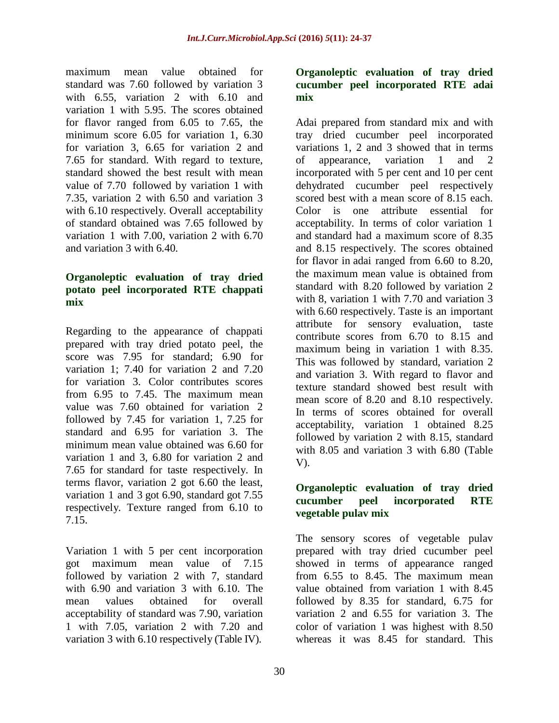maximum mean value obtained for standard was 7.60 followed by variation 3 with 6.55, variation 2 with 6.10 and variation 1 with 5.95. The scores obtained for flavor ranged from 6.05 to 7.65, the minimum score 6.05 for variation 1, 6.30 for variation 3, 6.65 for variation 2 and 7.65 for standard. With regard to texture, standard showed the best result with mean value of 7.70 followed by variation 1 with 7.35, variation 2 with 6.50 and variation 3 with 6.10 respectively. Overall acceptability of standard obtained was 7.65 followed by variation 1 with 7.00, variation 2 with 6.70 and variation 3 with 6.40.

#### **Organoleptic evaluation of tray dried potato peel incorporated RTE chappati mix**

Regarding to the appearance of chappati prepared with tray dried potato peel, the score was 7.95 for standard; 6.90 for variation 1; 7.40 for variation 2 and 7.20 for variation 3. Color contributes scores from 6.95 to 7.45. The maximum mean value was 7.60 obtained for variation 2 followed by 7.45 for variation 1, 7.25 for standard and 6.95 for variation 3. The minimum mean value obtained was 6.60 for variation 1 and 3, 6.80 for variation 2 and 7.65 for standard for taste respectively. In terms flavor, variation 2 got 6.60 the least, variation 1 and 3 got 6.90, standard got 7.55 respectively. Texture ranged from 6.10 to 7.15.

Variation 1 with 5 per cent incorporation got maximum mean value of 7.15 followed by variation 2 with 7, standard with 6.90 and variation 3 with 6.10. The mean values obtained for overall acceptability of standard was 7.90, variation 1 with 7.05, variation 2 with 7.20 and variation 3 with 6.10 respectively (Table IV).

### **Organoleptic evaluation of tray dried cucumber peel incorporated RTE adai mix**

Adai prepared from standard mix and with tray dried cucumber peel incorporated variations 1, 2 and 3 showed that in terms of appearance, variation 1 and 2 incorporated with 5 per cent and 10 per cent dehydrated cucumber peel respectively scored best with a mean score of 8.15 each. Color is one attribute essential for acceptability. In terms of color variation 1 and standard had a maximum score of 8.35 and 8.15 respectively. The scores obtained for flavor in adai ranged from 6.60 to 8.20, the maximum mean value is obtained from standard with 8.20 followed by variation 2 with 8, variation 1 with 7.70 and variation 3 with 6.60 respectively. Taste is an important attribute for sensory evaluation, taste contribute scores from 6.70 to 8.15 and maximum being in variation 1 with 8.35. This was followed by standard, variation 2 and variation 3. With regard to flavor and texture standard showed best result with mean score of 8.20 and 8.10 respectively. In terms of scores obtained for overall acceptability, variation 1 obtained 8.25 followed by variation 2 with 8.15, standard with 8.05 and variation 3 with 6.80 (Table V).

#### **Organoleptic evaluation of tray dried cucumber peel incorporated RTE vegetable pulav mix**

The sensory scores of vegetable pulav prepared with tray dried cucumber peel showed in terms of appearance ranged from 6.55 to 8.45. The maximum mean value obtained from variation 1 with 8.45 followed by 8.35 for standard, 6.75 for variation 2 and 6.55 for variation 3. The color of variation 1 was highest with 8.50 whereas it was 8.45 for standard. This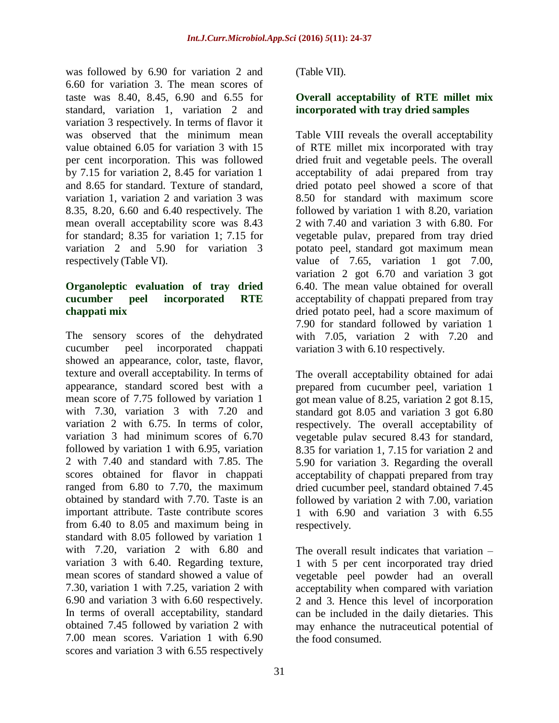was followed by 6.90 for variation 2 and 6.60 for variation 3. The mean scores of taste was 8.40, 8.45, 6.90 and 6.55 for standard, variation 1, variation 2 and variation 3 respectively. In terms of flavor it was observed that the minimum mean value obtained 6.05 for variation 3 with 15 per cent incorporation. This was followed by 7.15 for variation 2, 8.45 for variation 1 and 8.65 for standard. Texture of standard, variation 1, variation 2 and variation 3 was 8.35, 8.20, 6.60 and 6.40 respectively. The mean overall acceptability score was 8.43 for standard; 8.35 for variation 1; 7.15 for variation 2 and 5.90 for variation 3 respectively (Table VI).

#### **Organoleptic evaluation of tray dried cucumber peel incorporated RTE chappati mix**

The sensory scores of the dehydrated cucumber peel incorporated chappati showed an appearance, color, taste, flavor, texture and overall acceptability. In terms of appearance, standard scored best with a mean score of 7.75 followed by variation 1 with 7.30, variation 3 with 7.20 and variation 2 with 6.75. In terms of color, variation 3 had minimum scores of 6.70 followed by variation 1 with 6.95, variation 2 with 7.40 and standard with 7.85. The scores obtained for flavor in chappati ranged from 6.80 to 7.70, the maximum obtained by standard with 7.70. Taste is an important attribute. Taste contribute scores from 6.40 to 8.05 and maximum being in standard with 8.05 followed by variation 1 with 7.20, variation 2 with 6.80 and variation 3 with 6.40. Regarding texture, mean scores of standard showed a value of 7.30, variation 1 with 7.25, variation 2 with 6.90 and variation 3 with 6.60 respectively. In terms of overall acceptability, standard obtained 7.45 followed by variation 2 with 7.00 mean scores. Variation 1 with 6.90 scores and variation 3 with 6.55 respectively

(Table VII).

## **Overall acceptability of RTE millet mix incorporated with tray dried samples**

Table VIII reveals the overall acceptability of RTE millet mix incorporated with tray dried fruit and vegetable peels. The overall acceptability of adai prepared from tray dried potato peel showed a score of that 8.50 for standard with maximum score followed by variation 1 with 8.20, variation 2 with 7.40 and variation 3 with 6.80. For vegetable pulav, prepared from tray dried potato peel, standard got maximum mean value of 7.65, variation 1 got 7.00, variation 2 got 6.70 and variation 3 got 6.40. The mean value obtained for overall acceptability of chappati prepared from tray dried potato peel, had a score maximum of 7.90 for standard followed by variation 1 with 7.05, variation 2 with 7.20 and variation 3 with 6.10 respectively.

The overall acceptability obtained for adai prepared from cucumber peel, variation 1 got mean value of 8.25, variation 2 got 8.15, standard got 8.05 and variation 3 got 6.80 respectively. The overall acceptability of vegetable pulav secured 8.43 for standard, 8.35 for variation 1, 7.15 for variation 2 and 5.90 for variation 3. Regarding the overall acceptability of chappati prepared from tray dried cucumber peel, standard obtained 7.45 followed by variation 2 with 7.00, variation 1 with 6.90 and variation 3 with 6.55 respectively.

The overall result indicates that variation – 1 with 5 per cent incorporated tray dried vegetable peel powder had an overall acceptability when compared with variation 2 and 3. Hence this level of incorporation can be included in the daily dietaries. This may enhance the nutraceutical potential of the food consumed.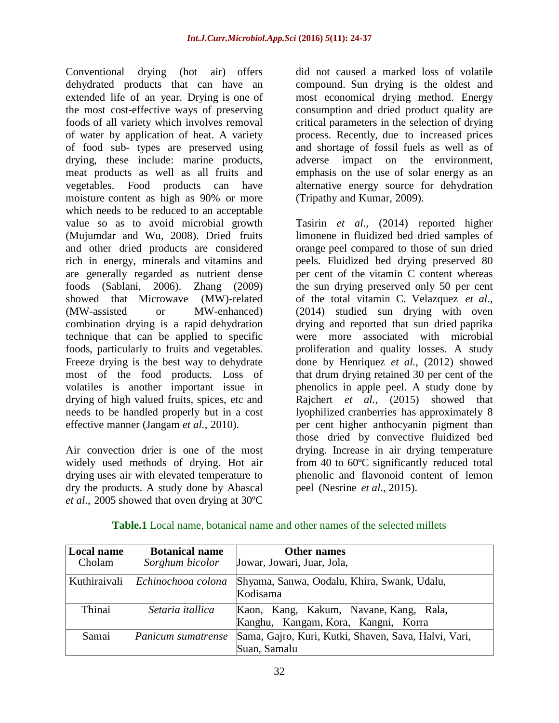Conventional drying (hot air) offers dehydrated products that can have an extended life of an year. Drying is one of the most cost-effective ways of preserving foods of all variety which involves removal of water by application of heat. A variety of food sub- types are preserved using drying, these include: marine products, meat products as well as all fruits and vegetables. Food products can have moisture content as high as 90% or more which needs to be reduced to an acceptable value so as to avoid microbial growth (Mujumdar and Wu, 2008). Dried fruits and other dried products are considered rich in energy, minerals and vitamins and are generally regarded as nutrient dense foods (Sablani, 2006). Zhang (2009) showed that Microwave (MW)-related (MW-assisted or MW-enhanced) combination drying is a rapid dehydration technique that can be applied to specific foods, particularly to fruits and vegetables. Freeze drying is the best way to dehydrate most of the food products. Loss of volatiles is another important issue in drying of high valued fruits, spices, etc and needs to be handled properly but in a cost effective manner (Jangam *et al.*, 2010).

Air convection drier is one of the most widely used methods of drying. Hot air drying uses air with elevated temperature to dry the products. A study done by Abascal *et al*., 2005 showed that oven drying at 30ºC

did not caused a marked loss of volatile compound. Sun drying is the oldest and most economical drying method. Energy consumption and dried product quality are critical parameters in the selection of drying process. Recently, due to increased prices and shortage of fossil fuels as well as of adverse impact on the environment, emphasis on the use of solar energy as an alternative energy source for dehydration (Tripathy and Kumar, 2009).

Tasirin *et al.,* (2014) reported higher limonene in fluidized bed dried samples of orange peel compared to those of sun dried peels. Fluidized bed drying preserved 80 per cent of the vitamin C content whereas the sun drying preserved only 50 per cent of the total vitamin C. Velazquez *et al.,* (2014) studied sun drying with oven drying and reported that sun dried paprika were more associated with microbial proliferation and quality losses. A study done by Henriquez *et al.,* (2012) showed that drum drying retained 30 per cent of the phenolics in apple peel. A study done by Rajchert *et al.,* (2015) showed that lyophilized cranberries has approximately 8 per cent higher anthocyanin pigment than those dried by convective fluidized bed drying. Increase in air drying temperature from 40 to 60ºC significantly reduced total phenolic and flavonoid content of lemon peel (Nesrine *et al*., 2015).

| Local name   | <b>Botanical name</b> | Other names                                                                   |  |  |  |
|--------------|-----------------------|-------------------------------------------------------------------------------|--|--|--|
| Cholam       | Sorghum bicolor       | Jowar, Jowari, Juar, Jola,                                                    |  |  |  |
| Kuthiraivali | Echinochooa colona    | Shyama, Sanwa, Oodalu, Khira, Swank, Udalu,<br>Kodisama                       |  |  |  |
| Thinai       | Setaria itallica      | Kaon, Kang, Kakum, Navane, Kang, Rala,<br>Kanghu, Kangam, Kora, Kangni, Korra |  |  |  |
| Samai        | Panicum sumatrense    | Sama, Gajro, Kuri, Kutki, Shaven, Sava, Halvi, Vari,<br>Suan, Samalu          |  |  |  |

**Table.1** Local name, botanical name and other names of the selected millets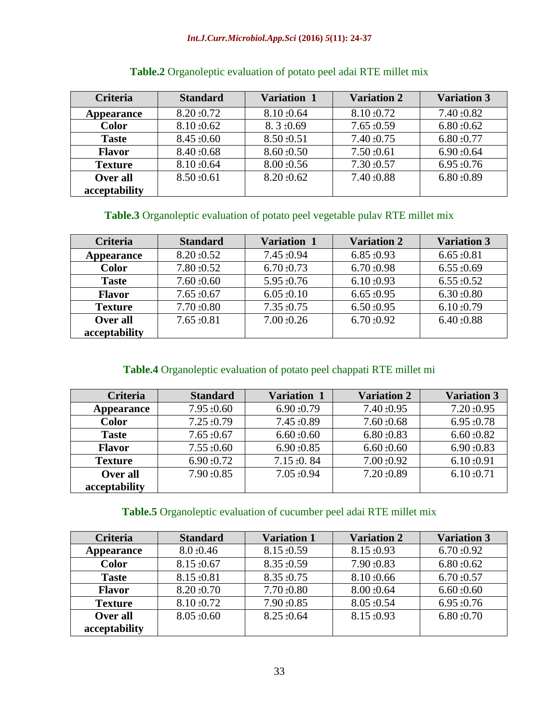#### *Int.J.Curr.Microbiol.App.Sci* **(2016)** *5***(11): 24-37**

| <b>Criteria</b> | <b>Standard</b>                    | <b>Variation 1</b> | <b>Variation 2</b> | <b>Variation 3</b> |
|-----------------|------------------------------------|--------------------|--------------------|--------------------|
| Appearance      | $8.20 \pm 0.72$                    | $8.10 \pm 0.64$    | $8.10 \pm 0.72$    | $7.40 \pm 0.82$    |
| <b>Color</b>    | $8.10 \pm 0.62$                    | $8.3 \pm 0.69$     | $7.65 \pm 0.59$    | $6.80 \pm 0.62$    |
| <b>Taste</b>    | $8.50 \pm 0.51$<br>$8.45 \pm 0.60$ |                    | $7.40 \pm 0.75$    | $6.80 \pm 0.77$    |
| <b>Flavor</b>   | $8.40 \pm 0.68$<br>$8.60 \pm 0.50$ |                    | $7.50 \pm 0.61$    | $6.90 \pm 0.64$    |
| <b>Texture</b>  | $8.10 \pm 0.64$                    | $8.00 \pm 0.56$    | $7.30 \pm 0.57$    | $6.95 \pm 0.76$    |
| Over all        | $8.50 \pm 0.61$                    | $8.20 \pm 0.62$    | $7.40 \pm 0.88$    | $6.80 \pm 0.89$    |
| acceptability   |                                    |                    |                    |                    |

# **Table.2** Organoleptic evaluation of potato peel adai RTE millet mix

## **Table.3** Organoleptic evaluation of potato peel vegetable pulav RTE millet mix

| <b>Criteria</b> | Variation 1<br><b>Standard</b>     |                                    | <b>Variation 2</b> | <b>Variation 3</b> |  |
|-----------------|------------------------------------|------------------------------------|--------------------|--------------------|--|
| Appearance      | $8.20 \pm 0.52$                    | $7.45 \pm 0.94$<br>$6.85 \pm 0.93$ |                    | $6.65 \pm 0.81$    |  |
| <b>Color</b>    | $7.80 \pm 0.52$                    | $6.70 \pm 0.73$                    | $6.70 \pm 0.98$    | $6.55 \pm 0.69$    |  |
| <b>Taste</b>    | $7.60 \pm 0.60$<br>$5.95 \pm 0.76$ |                                    | $6.10 \pm 0.93$    | $6.55 \pm 0.52$    |  |
| <b>Flavor</b>   | $7.65 \pm 0.67$                    | $6.05 \pm 0.10$                    | $6.65 \pm 0.95$    | $6.30 \pm 0.80$    |  |
| <b>Texture</b>  | $7.70 \pm 0.80$                    | $7.35 \pm 0.75$                    | $6.50 \pm 0.95$    | $6.10 \pm 0.79$    |  |
| Over all        | $7.65 \pm 0.81$                    | $7.00 \pm 0.26$                    | $6.70 \pm 0.92$    | $6.40 \pm 0.88$    |  |
| acceptability   |                                    |                                    |                    |                    |  |

## **Table.4** Organoleptic evaluation of potato peel chappati RTE millet mi

| <b>Criteria</b> | <b>Standard</b> | <b>Variation 1</b> | <b>Variation 2</b> | <b>Variation 3</b> |
|-----------------|-----------------|--------------------|--------------------|--------------------|
| Appearance      | $7.95 \pm 0.60$ | $6.90 \pm 0.79$    | $7.40 \pm 0.95$    | $7.20 \pm 0.95$    |
| <b>Color</b>    | $7.25 \pm 0.79$ | $7.45 \pm 0.89$    | $7.60 \pm 0.68$    | $6.95 \pm 0.78$    |
| <b>Taste</b>    | $7.65 \pm 0.67$ | $6.60 \pm 0.60$    | $6.80 \pm 0.83$    | $6.60 \pm 0.82$    |
| <b>Flavor</b>   | $7.55 \pm 0.60$ | $6.90 \pm 0.85$    | $6.60 \pm 0.60$    | $6.90 \pm 0.83$    |
| <b>Texture</b>  | $6.90 \pm 0.72$ | $7.15 \pm 0.84$    | $7.00 \pm 0.92$    | $6.10 \pm 0.91$    |
| Over all        | $7.90 \pm 0.85$ | $7.05 \pm 0.94$    | $7.20 \pm 0.89$    | $6.10 \pm 0.71$    |
| acceptability   |                 |                    |                    |                    |

## **Table.5** Organoleptic evaluation of cucumber peel adai RTE millet mix

| Criteria          | <b>Variation 1</b><br><b>Standard</b> |                 | <b>Variation 2</b> | <b>Variation 3</b> |  |
|-------------------|---------------------------------------|-----------------|--------------------|--------------------|--|
| <b>Appearance</b> | $8.15 \pm 0.59$<br>$8.0 \pm 0.46$     |                 | $8.15 \pm 0.93$    | $6.70 \pm 0.92$    |  |
| <b>Color</b>      | $8.15 \pm 0.67$                       | $8.35 \pm 0.59$ | $7.90 \pm 0.83$    | $6.80 \pm 0.62$    |  |
| <b>Taste</b>      | $8.15 \pm 0.81$                       | $8.35 \pm 0.75$ | $8.10 \pm 0.66$    | $6.70 \pm 0.57$    |  |
| <b>Flavor</b>     | $7.70 \pm 0.80$<br>$8.20 \pm 0.70$    |                 | $8.00 \pm 0.64$    | $6.60 \pm 0.60$    |  |
| <b>Texture</b>    | $8.10 \pm 0.72$                       | $7.90 \pm 0.85$ | $8.05 \pm 0.54$    | $6.95 \pm 0.76$    |  |
| Over all          | $8.05 \pm 0.60$                       | $8.25 \pm 0.64$ | $8.15 \pm 0.93$    | $6.80 \pm 0.70$    |  |
| acceptability     |                                       |                 |                    |                    |  |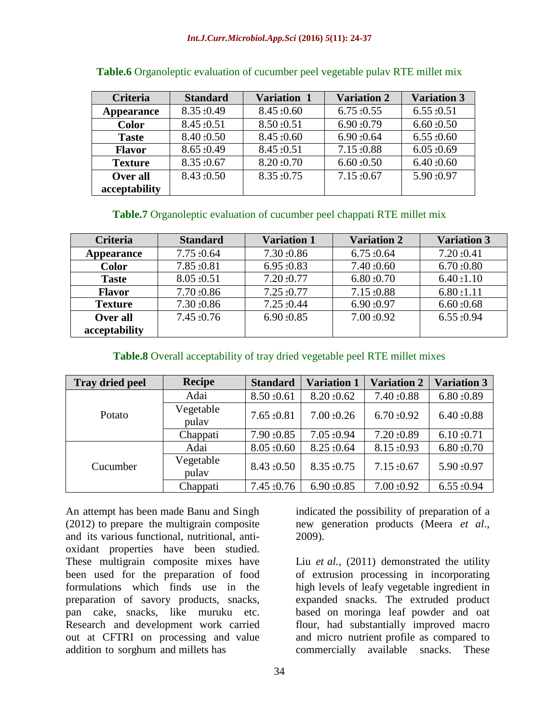#### *Int.J.Curr.Microbiol.App.Sci* **(2016)** *5***(11): 24-37**

| Criteria          | <b>Standard</b> | <b>Variation 1</b>                 | <b>Variation 2</b> | <b>Variation 3</b> |  |
|-------------------|-----------------|------------------------------------|--------------------|--------------------|--|
| <b>Appearance</b> | $8.35 \pm 0.49$ | $8.45 \pm 0.60$<br>$6.75 \pm 0.55$ |                    | $6.55 \pm 0.51$    |  |
| <b>Color</b>      | $8.45 \pm 0.51$ | $8.50 \pm 0.51$                    | $6.90 \pm 0.79$    | $6.60 \pm 0.50$    |  |
| <b>Taste</b>      | $8.40 \pm 0.50$ | $8.45 \pm 0.60$                    | $6.90 \pm 0.64$    | $6.55 \pm 0.60$    |  |
| <b>Flavor</b>     | $8.65 \pm 0.49$ | $8.45 \pm 0.51$                    | $7.15 \pm 0.88$    | $6.05 \pm 0.69$    |  |
| <b>Texture</b>    | $8.35 \pm 0.67$ | $8.20 \pm 0.70$                    | $6.60 \pm 0.50$    | $6.40 \pm 0.60$    |  |
| Over all          | $8.43 \pm 0.50$ | $8.35 \pm 0.75$                    | $7.15 \pm 0.67$    | 5.90 ±0.97         |  |
| acceptability     |                 |                                    |                    |                    |  |

| Table.6 Organoleptic evaluation of cucumber peel vegetable pulav RTE millet mix |  |  |  |
|---------------------------------------------------------------------------------|--|--|--|
|                                                                                 |  |  |  |

#### **Table.7** Organoleptic evaluation of cucumber peel chappati RTE millet mix

| <b>Criteria</b> | <b>Standard</b>                    | <b>Variation 1</b> | <b>Variation 2</b> | <b>Variation 3</b> |  |
|-----------------|------------------------------------|--------------------|--------------------|--------------------|--|
| Appearance      | $7.75 \pm 0.64$                    | $7.30 \pm 0.86$    | $6.75 \pm 0.64$    | $7.20 \pm 0.41$    |  |
| <b>Color</b>    | $7.85 \pm 0.81$                    | $6.95 \pm 0.83$    | $7.40 \pm 0.60$    | $6.70 \pm 0.80$    |  |
| <b>Taste</b>    | $8.05 \pm 0.51$                    | $7.20 \pm 0.77$    | $6.80 \pm 0.70$    | $6.40 \pm 1.10$    |  |
| <b>Flavor</b>   | $7.70 \pm 0.86$                    | $7.25 \pm 0.77$    | $7.15 \pm 0.88$    | $6.80 \pm 1.11$    |  |
| <b>Texture</b>  | $7.30 \pm 0.86$                    | $7.25 \pm 0.44$    | $6.90 \pm 0.97$    | $6.60 \pm 0.68$    |  |
| Over all        | $6.90 \pm 0.85$<br>$7.45 \pm 0.76$ |                    | $7.00 \pm 0.92$    | $6.55 \pm 0.94$    |  |
| acceptability   |                                    |                    |                    |                    |  |

#### **Table.8** Overall acceptability of tray dried vegetable peel RTE millet mixes

| <b>Tray dried peel</b> | <b>Recipe</b>      | <b>Standard</b> | <b>Variation 1</b> | <b>Variation 2</b> | <b>Variation 3</b> |
|------------------------|--------------------|-----------------|--------------------|--------------------|--------------------|
|                        | Adai               | $8.50 \pm 0.61$ | $8.20 \pm 0.62$    | $7.40 \pm 0.88$    | $6.80 \pm 0.89$    |
| Potato                 | Vegetable<br>pulay | $7.65 \pm 0.81$ | $7.00 \pm 0.26$    | $6.70 \pm 0.92$    | $6.40 \pm 0.88$    |
|                        | Chappati           | $7.90 \pm 0.85$ | $7.05 \pm 0.94$    | $7.20 \pm 0.89$    | $6.10 \pm 0.71$    |
|                        | Adai               | $8.05 \pm 0.60$ | $8.25 \pm 0.64$    | $8.15 \pm 0.93$    | $6.80 \pm 0.70$    |
| Cucumber               | Vegetable<br>pulay | $8.43 \pm 0.50$ | $8.35 \pm 0.75$    | $7.15 \pm 0.67$    | 5.90 ±0.97         |
|                        | Chappati           | $7.45 \pm 0.76$ | $6.90 \pm 0.85$    | $7.00 \pm 0.92$    | $6.55 \pm 0.94$    |

An attempt has been made Banu and Singh (2012) to prepare the multigrain composite and its various functional, nutritional, antioxidant properties have been studied. These multigrain composite mixes have been used for the preparation of food formulations which finds use in the preparation of savory products, snacks, pan cake, snacks, like muruku etc. Research and development work carried out at CFTRI on processing and value addition to sorghum and millets has

indicated the possibility of preparation of a new generation products (Meera *et al*., 2009).

Liu *et al.,* (2011) demonstrated the utility of extrusion processing in incorporating high levels of leafy vegetable ingredient in expanded snacks. The extruded product based on moringa leaf powder and oat flour, had substantially improved macro and micro nutrient profile as compared to commercially available snacks. These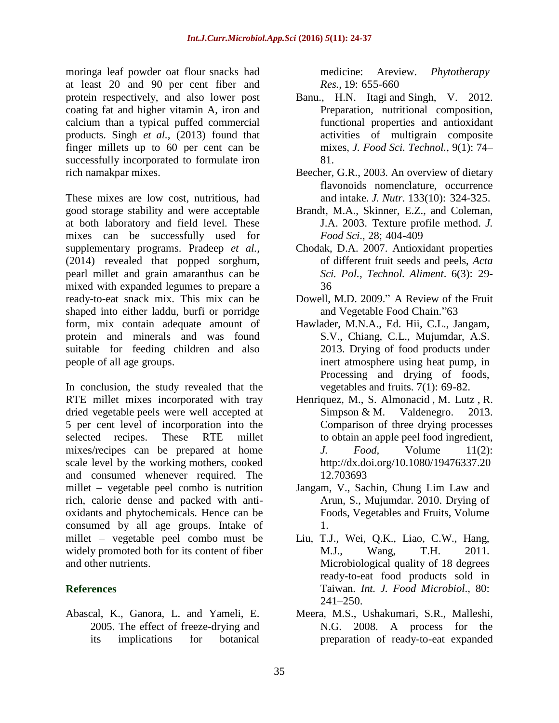moringa leaf powder oat flour snacks had at least 20 and 90 per cent fiber and protein respectively, and also lower post coating fat and higher vitamin A, iron and calcium than a typical puffed commercial products. Singh *et al.,* (2013) found that finger millets up to 60 per cent can be successfully incorporated to formulate iron rich namakpar mixes.

These mixes are low cost, nutritious, had good storage stability and were acceptable at both laboratory and field level. These mixes can be successfully used for supplementary programs. Pradeep *et al.,* (2014) revealed that popped sorghum, pearl millet and grain amaranthus can be mixed with expanded legumes to prepare a ready-to-eat snack mix. This mix can be shaped into either laddu, burfi or porridge form, mix contain adequate amount of protein and minerals and was found suitable for feeding children and also people of all age groups.

In conclusion, the study revealed that the RTE millet mixes incorporated with tray dried vegetable peels were well accepted at 5 per cent level of incorporation into the selected recipes. These RTE millet mixes/recipes can be prepared at home scale level by the working mothers, cooked and consumed whenever required. The millet – vegetable peel combo is nutrition rich, calorie dense and packed with antioxidants and phytochemicals. Hence can be consumed by all age groups. Intake of millet – vegetable peel combo must be widely promoted both for its content of fiber and other nutrients.

## **References**

Abascal, K., Ganora, L. and Yameli, E. 2005. The effect of freeze-drying and its implications for botanical medicine: Areview. *Phytotherapy Res.,* 19: 655-660

- Banu., [H.N. Itagi](https://www.ncbi.nlm.nih.gov/pubmed/?term=Itagi%20HB%5BAuthor%5D&cauthor=true&cauthor_uid=23572828) and [Singh,](https://www.ncbi.nlm.nih.gov/pubmed/?term=Singh%20V%5BAuthor%5D&cauthor=true&cauthor_uid=23572828) V. 2012. Preparation, nutritional composition, functional properties and antioxidant activities of multigrain composite mixes, *J. [Food Sci.](https://www.ncbi.nlm.nih.gov/pmc/articles/PMC3550884/) Technol.*, 9(1): 74– 81.
- Beecher, G.R., 2003. An overview of dietary flavonoids nomenclature, occurrence and intake. *J. Nutr*. 133(10): 324-325.
- Brandt, M.A., Skinner, E.Z., and Coleman, J.A. 2003. Texture profile method. *J. Food Sci*., 28; 404-409
- Chodak, D.A. 2007. Antioxidant properties of different fruit seeds and peels, *Acta Sci. Pol., Technol. Aliment*. 6(3): 29- 36
- Dowell, M.D. 2009." A Review of the Fruit and Vegetable Food Chain."63
- Hawlader, M.N.A., Ed. Hii, C.L., Jangam, S.V., Chiang, C.L., Mujumdar, A.S. 2013. Drying of food products under inert atmosphere using heat pump, in Processing and drying of foods, vegetables and fruits. 7(1): 69-82.
- Henriquez, M., [S. Almonacid](http://www.tandfonline.com/author/Almonacid%2C+S) , [M. Lutz](http://www.tandfonline.com/author/Lutz%2C+M) , [R.](http://www.tandfonline.com/author/Simpson%2C+R)  [Simpson](http://www.tandfonline.com/author/Simpson%2C+R) & [M. Valdenegro.](http://www.tandfonline.com/author/Valdenegro%2C+M) 2013. Comparison of three drying processes to obtain an apple peel food ingredient, *J. Food,* Volume 11(2): [http://dx.doi.org/10.1080/19476337.20](http://dx.doi.org/10.1080/19476337.2012.703693) [12.703693](http://dx.doi.org/10.1080/19476337.2012.703693)
- Jangam, V., Sachin, Chung Lim Law and Arun, S., Mujumdar. 2010. Drying of Foods, Vegetables and Fruits, Volume 1.
- Liu, T.J., Wei, Q.K., Liao, C.W., Hang, M.J., Wang, T.H. 2011. Microbiological quality of 18 degrees ready-to-eat food products sold in Taiwan. *Int. J. Food Microbiol*., 80: 241–250.
- Meera, M.S., Ushakumari, S.R., Malleshi, N.G. 2008. A process for the preparation of ready-to-eat expanded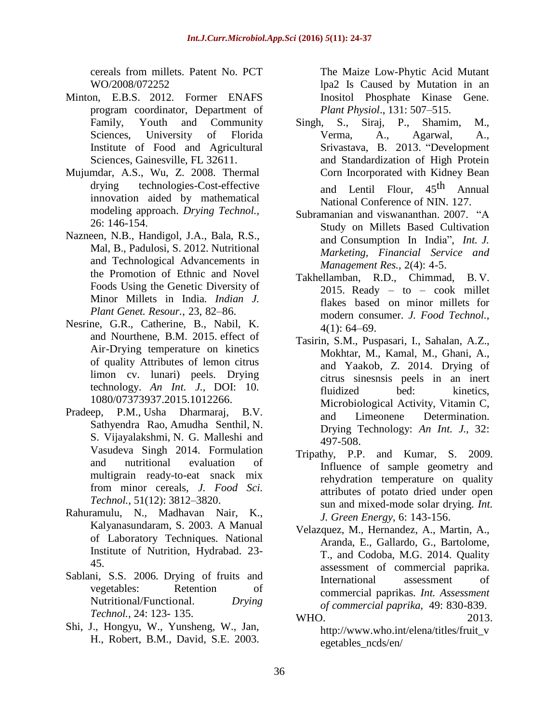cereals from millets. Patent No. PCT WO/2008/072252

- Minton, E.B.S. 2012. Former ENAFS program coordinator, Department of Family, Youth and Community Sciences, University of Florida Institute of Food and Agricultural Sciences, Gainesville, FL 32611.
- Mujumdar, A.S., Wu, Z. 2008. Thermal drying technologies-Cost-effective innovation aided by mathematical modeling approach. *Drying Technol.,* 26: 146-154.
- Nazneen, N.B., Handigol, J.A., Bala, R.S., Mal, B., Padulosi, S. 2012. Nutritional and Technological Advancements in the Promotion of Ethnic and Novel Foods Using the Genetic Diversity of Minor Millets in India. *Indian J. Plant Genet. Resour.*, 23, 82–86.
- Nesrine, G.R., Catherine, B., Nabil, K. and Nourthene, B.M. 2015. effect of Air-Drying temperature on kinetics of quality Attributes of lemon citrus limon cv. lunari) peels. Drying technology. *An Int. J.,* DOI: 10. 1080/07373937.2015.1012266.
- [Pradeep,](https://www.ncbi.nlm.nih.gov/pubmed/?term=Pradeep%20PM%5BAuthor%5D&cauthor=true&cauthor_uid=25477648) P.M., [Usha Dharmaraj,](https://www.ncbi.nlm.nih.gov/pubmed/?term=Dharmaraj%20U%5BAuthor%5D&cauthor=true&cauthor_uid=25477648) [B.V.](https://www.ncbi.nlm.nih.gov/pubmed/?term=Sathyendra%20Rao%20BV%5BAuthor%5D&cauthor=true&cauthor_uid=25477648)  [Sathyendra Rao,](https://www.ncbi.nlm.nih.gov/pubmed/?term=Sathyendra%20Rao%20BV%5BAuthor%5D&cauthor=true&cauthor_uid=25477648) [Amudha Senthil,](https://www.ncbi.nlm.nih.gov/pubmed/?term=Senthil%20A%5BAuthor%5D&cauthor=true&cauthor_uid=25477648) [N.](https://www.ncbi.nlm.nih.gov/pubmed/?term=Vijayalakshmi%20NS%5BAuthor%5D&cauthor=true&cauthor_uid=25477648)  [S. Vijayalakshmi,](https://www.ncbi.nlm.nih.gov/pubmed/?term=Vijayalakshmi%20NS%5BAuthor%5D&cauthor=true&cauthor_uid=25477648) [N. G. Malleshi](https://www.ncbi.nlm.nih.gov/pubmed/?term=Malleshi%20NG%5BAuthor%5D&cauthor=true&cauthor_uid=25477648) and [Vasudeva Singh](https://www.ncbi.nlm.nih.gov/pubmed/?term=Singh%20V%5BAuthor%5D&cauthor=true&cauthor_uid=25477648) 2014. Formulation and nutritional evaluation of multigrain ready-to-eat snack mix from minor cereals, *[J. Food Sci.](https://www.ncbi.nlm.nih.gov/pmc/articles/PMC4252459/) [Technol.](https://www.ncbi.nlm.nih.gov/pmc/articles/PMC4252459/),* 51(12): 3812–3820.
- Rahuramulu, N., Madhavan Nair, K., Kalyanasundaram, S. 2003. A Manual of Laboratory Techniques. National Institute of Nutrition, Hydrabad. 23- 45.
- Sablani, S.S. 2006. Drying of fruits and vegetables: Retention of Nutritional/Functional. *Drying Technol.,* 24: 123- 135.
- Shi, J., Hongyu, W., Yunsheng, W., Jan, H., Robert, B.M., David, S.E. 2003.

The Maize Low-Phytic Acid Mutant lpa2 Is Caused by Mutation in an Inositol Phosphate Kinase Gene. *Plant Physiol*., 131: 507–515.

- Singh, S., Siraj, P., Shamim, M., Verma, A., Agarwal, A., Srivastava, B. 2013. "Development and Standardization of High Protein Corn Incorporated with Kidney Bean and Lentil Flour, 45<sup>th</sup> Annual National Conference of NIN. 127.
- Subramanian and viswananthan. 2007. "A Study on Millets Based Cultivation and Consumption In India", *Int. J. Marketing, Financial Service and Management Res.,* 2(4): 4-5.
- Takhellamban, R.D., Chimmad, B. V. 2015. Ready – to – cook millet flakes based on minor millets for modern consumer. *J. Food Technol.,*  $4(1)$ : 64–69.
- Tasirin, S.M., Puspasari, I., Sahalan, A.Z., Mokhtar, M., Kamal, M., Ghani, A., and Yaakob, Z. 2014. Drying of citrus sinesnsis peels in an inert fluidized bed: kinetics, Microbiological Activity, Vitamin C, and Limeonene Determination. Drying Technology: *An Int. J.,* 32: 497-508.
- Tripathy, P.P. and Kumar, S. 2009. Influence of sample geometry and rehydration temperature on quality attributes of potato dried under open sun and mixed-mode solar drying. *Int. J. Green Energy*, 6: 143-156.
- Velazquez, M., Hernandez, A., Martin, A., Aranda, E., Gallardo, G., Bartolome, T., and Codoba, M.G. 2014. Quality assessment of commercial paprika. International assessment of commercial paprikas. *Int. Assessment of commercial paprika,* 49: 830-839. WHO. 2013.
	- [http://www.who.int/elena/titles/fruit\\_v](http://www.who.int/elena/titles/fruit_vegetables_ncds/en/) [egetables\\_ncds/en/](http://www.who.int/elena/titles/fruit_vegetables_ncds/en/)